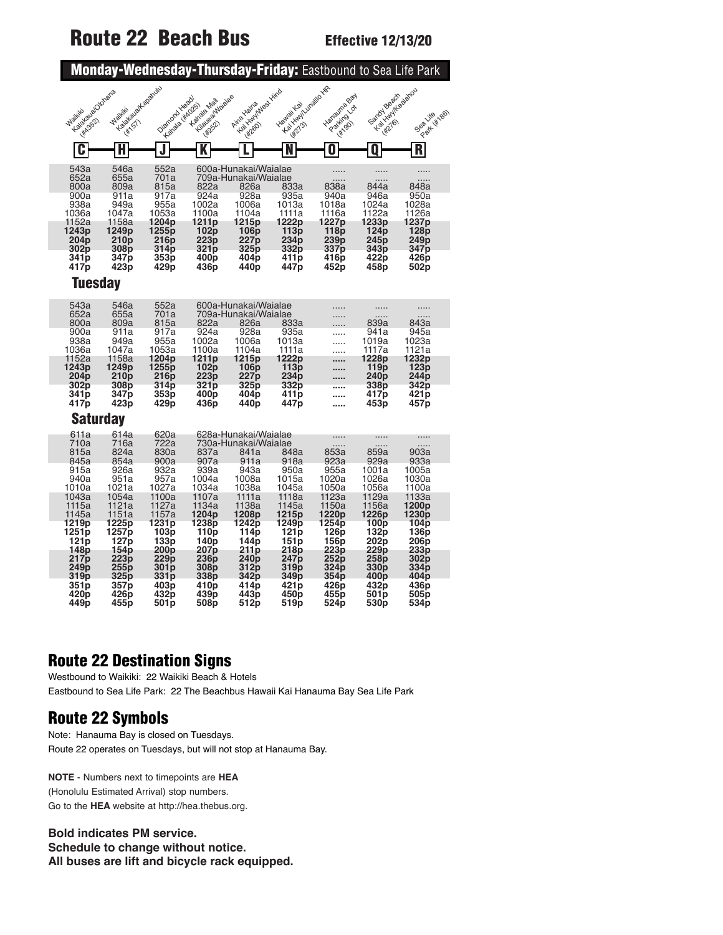|                                                          | Monday-Wednesday-Thursday-Friday: Eastbound to Sea Life Park |                                  |                                                          |                                                              |                                                          |                                             |                                                     |                                  |  |
|----------------------------------------------------------|--------------------------------------------------------------|----------------------------------|----------------------------------------------------------|--------------------------------------------------------------|----------------------------------------------------------|---------------------------------------------|-----------------------------------------------------|----------------------------------|--|
| Handy Asia diomens<br><b>Waikiki</b><br><b>- 4405021</b> | Federal Microsoft<br><b>Walkits</b><br><b>HATST</b>          | Diamond Head!<br>Junivale HADDS  | Kilguega Majadae<br>Kahala Mall<br><b>4822</b>           | Airportation des Hind<br>142601                              | Factor Contractor<br>Hawaii Kai<br><b>W2731</b>          | Hanguina Bay<br>Parking Lot<br><b>EXTRA</b> | February Legislator<br>Sandy Beach<br><b>WR276)</b> | Journal Hitl801<br>Sealite       |  |
| $\overline{\textbf{C}}$                                  | H                                                            | Ĵ                                | K                                                        |                                                              |                                                          | 0                                           | Q                                                   | R                                |  |
| 543a<br>652a<br>800a                                     | 546a<br>655a<br>809a                                         | 552a<br>701a<br>815a             | 822a                                                     | 600a-Hunakai/Waialae<br>709a-Hunakai/Waialae<br>826a         | 833a                                                     | .<br>.<br>838a                              | .<br>.<br>844a                                      | .<br>848a                        |  |
| 900a<br>938a<br>1036a<br>1152a                           | 911a<br>949a<br>1047a<br>1158a                               | 917a<br>955a<br>1053a<br>1204p   | 924a<br>1002a<br>1100a<br>1211p                          | 928a<br>1006a<br>1104a<br>1215p                              | 935a<br>1013a<br>1111a<br>1222p                          | 940a<br>1018a<br>1116a<br>1227p             | 946a<br>1024a<br>1122a<br>1233p                     | 950a<br>1028a<br>1126a<br>1237p  |  |
| 1243p<br>204p<br>302p                                    | 1249p<br>210p<br>308p                                        | 1255p<br>216p<br>314p            | 102p<br>223p<br>321p                                     | 106 <sub>p</sub><br>227p<br>325p                             | 113p<br>234p<br>332p                                     | 118p<br>239p<br>337p                        | 124 <sub>p</sub><br>245p<br>343p                    | 128p<br>249p<br>347p             |  |
| 341 <sub>p</sub><br>417 <sub>p</sub><br><b>Tuesday</b>   | 347p<br>423p                                                 | 353p<br>429p                     | 400 <sub>p</sub><br>436p                                 | 404p<br>440 <sub>p</sub>                                     | 411 <sub>p</sub><br>447p                                 | 416p<br>452p                                | 422p<br>458p                                        | 426p<br>502p                     |  |
| 543a                                                     | 546a                                                         | 552a                             | 600a-Hunakai/Waialae                                     |                                                              |                                                          |                                             |                                                     |                                  |  |
| 652a<br>800a<br>900a                                     | 655a<br>809a<br>911a                                         | 701a<br>815a                     | 822a<br>924a                                             | 709a-Hunakai/Waialae<br>826a<br>928a                         | 833a<br>935a                                             | .<br>.<br>.                                 | .<br>839a<br>941a                                   | 843a<br>945a                     |  |
| 938a<br>1036a<br>1152a                                   | 949a<br>1047a                                                | 917a<br>955a<br>1053a            | 1002a<br>1100a<br>1211p                                  | 1006a<br>1104a                                               | 1013a<br>1111a                                           | .<br>.<br>                                  | 1019a<br>1117a                                      | 1023a<br>1121a<br>1232p          |  |
| 1243p<br>204p<br>302p                                    | 1158a<br>1249p<br>210p<br>308p                               | 1204p<br>1255p<br>216p<br>314p   | 102p<br>223p<br>321p                                     | 1215p<br>106 <sub>p</sub><br>227p<br>325p                    | 1222p<br>113p<br>234p<br>332p                            |                                             | 1228p<br>119p<br>240p<br>338p                       | 123p<br>244p<br>342p             |  |
| 341 <sub>p</sub><br>417p                                 | 347 <sub>p</sub><br>423p                                     | 353p<br>429 <sub>p</sub>         | 400p<br>436p                                             | 404 <sub>p</sub><br>440 <sub>p</sub>                         | 411 <sub>p</sub><br>447p                                 | 1.1.1.1<br>$\cdots$                         | 417p<br>453p                                        | 421 p<br>457 <sub>p</sub>        |  |
|                                                          | <b>Saturday</b>                                              |                                  |                                                          |                                                              |                                                          |                                             |                                                     |                                  |  |
| 611a<br>710a<br>815a<br>845a                             | 614a<br>716a<br>824a<br>854a                                 | 620a<br>722a<br>830a<br>900a     | 837a<br>907a                                             | 628a-Hunakai/Waialae<br>730a-Hunakai/Waialae<br>841a<br>911a | 848a<br>918a                                             | .<br>853a<br>923a                           | .<br>859a<br>929a                                   | 903a<br>933a                     |  |
| 915a<br>940a<br>1010a                                    | 926a<br>951a<br>1021a                                        | 932a<br>957a<br>1027a            | 939a<br>1004a<br>1034a                                   | 943a<br>1008a<br>1038a                                       | 950a<br>1015a<br>1045a                                   | 955a<br>1020a<br>1050a                      | 1001a<br>1026a<br>1056a                             | 1005a<br>1030a<br>1100a          |  |
| 1043a<br>1115a<br>1145a<br>1219p                         | 1054a<br>1121a<br>1151a<br>1225p                             | 1100a<br>1127a<br>1157a<br>1231p | 1107a<br>1134a<br>1204p<br>1238p                         | 1111a<br>1138a<br>1208p<br>1242p                             | 1118a<br>1145a<br>1215p<br>1249p                         | 1123a<br>1150a<br>1220p<br>1254p            | 1129a<br>1156a<br>1226p<br>100p                     | 1133a<br>1200p<br>1230p<br>104p  |  |
| 1251p<br>121p<br>148p                                    | 1257p<br>127p<br>154p                                        | 103p<br>133p<br>200p             | 110 <sub>p</sub><br>140 <sub>p</sub><br>207 <sub>p</sub> | 114p<br>144p<br>211 <sub>p</sub>                             | 121p<br>151p<br>218p                                     | 126p<br>156p                                | 132p<br>202p<br>229p                                | 136p<br>206p<br>233p             |  |
| 217p<br>249p<br>319p                                     | 223p<br>255p<br>325p                                         | 229p<br>301 <sub>p</sub><br>331p | 236p<br>308p<br>338p                                     | 240 <sub>p</sub><br>312p<br>342p                             | 247p<br>319p<br>349p                                     | 223p<br>252p<br>324p<br>354p                | 258p<br>330p<br>400p                                | 302p<br>334p<br>404p             |  |
| 351 <sub>p</sub><br>420p<br>449p                         | 357p<br>426p<br>455p                                         | 403p<br>432p<br>501 <sub>p</sub> | 410p<br>439p<br>508p                                     | 414 <sub>p</sub><br>443p<br>512p                             | 421 <sub>p</sub><br>450 <sub>p</sub><br>519 <sub>p</sub> | 426p<br>455p<br>524p                        | 432p<br>501p<br>530p                                | 436p<br>505 <sub>p</sub><br>534p |  |

#### Route 22 Destination Signs

Westbound to Waikiki: 22 Waikiki Beach & Hotels

Eastbound to Sea Life Park: 22 The Beachbus Hawaii Kai Hanauma Bay Sea Life Park

#### Route 22 Symbols

Note: Hanauma Bay is closed on Tuesdays. Route 22 operates on Tuesdays, but will not stop at Hanauma Bay.

**NOTE** - Numbers next to timepoints are **HEA** (Honolulu Estimated Arrival) stop numbers. Go to the **HEA** website at http://hea.thebus.org.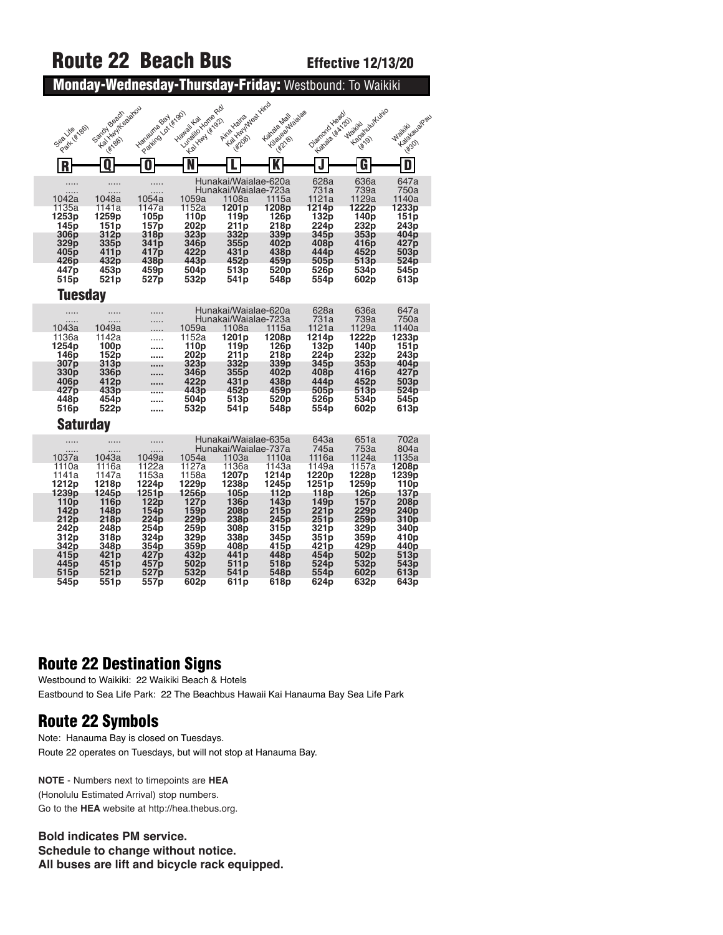Monday-Wednesday-Thursday-Friday: Westbound: To Waikiki

| Seattle Hago             | Kal Hanilcoakou<br>Sardy Beach | Variation of this or<br>Hanauna Bay  | Lungilo Hongrey<br>Hawaii Kai<br>Y - A WAY 1992 | Hall Hay Nigel Hiro<br>Aina Haina            | Kilavea Majadee<br>Kanala Mall | Diamond Head!<br>Lighter of History | Lagaritututio    |                          |
|--------------------------|--------------------------------|--------------------------------------|-------------------------------------------------|----------------------------------------------|--------------------------------|-------------------------------------|------------------|--------------------------|
|                          |                                |                                      |                                                 |                                              |                                |                                     | <b>Walkitch</b>  | Waikiki                  |
|                          | 141881                         |                                      |                                                 | 142081                                       | 182181                         |                                     | <b>EXEM</b>      | 14301                    |
|                          |                                |                                      |                                                 |                                              |                                |                                     |                  |                          |
| R                        | 0                              | 0                                    | N                                               |                                              | K                              | Ų                                   | G                | D                        |
|                          |                                |                                      |                                                 | Hunakai/Waialae-620a                         |                                | 628a                                | 636a             | 647a                     |
|                          |                                |                                      |                                                 | Hunakai/Waialae-723a                         |                                | 731a                                | 739a             | 750a                     |
| 1042a<br>1135a           | 1048a<br>1141a                 | 1054a<br>1147a                       | 1059a<br>1152a                                  | 1108a<br>1201 <sub>p</sub>                   | 1115a<br>1208p                 | 1121a<br>1214p                      | 1129a<br>1222p   | 1140a<br>1233p           |
| 1253p                    | 1259p                          | 105 <sub>p</sub>                     | 110 <sub>p</sub>                                | 119p                                         | 126p                           | 132p                                | 140p             | 151p                     |
| 145p                     | 151p                           | 157p                                 | 202p                                            | 211p                                         | 218p                           | 224p                                | 232p             | 243p                     |
| 306p                     | 312p                           | 318p                                 | 323p                                            | 332p                                         | 339p                           | 345p                                | 353p             | 404 <sub>p</sub>         |
| 329p<br>405p             | 335p<br>411 <sub>p</sub>       | 341 <sub>p</sub><br>417 <sub>p</sub> | 346 <sub>p</sub><br>422p                        | 355p<br>431p                                 | 402p<br>438p                   | 408p<br>444 <sub>p</sub>            | 416p<br>452p     | 427 <sub>p</sub><br>503p |
| 426 <sub>p</sub>         | 432p                           | 438p                                 | 443 <sub>p</sub>                                | 452p                                         | 459 <sub>p</sub>               | 505p                                | 513p             | 524 <sub>p</sub>         |
| 447 <sub>p</sub>         | 453p                           | 459p                                 | 504p                                            | 513p                                         | 520p                           | 526p                                | 534p             | 545p                     |
| 515p                     | 521 <sub>p</sub>               | 527 <sub>p</sub>                     | 532p                                            | 541 p                                        | 548p                           | 554p                                | 602p             | 613p                     |
| <b>Tuesday</b>           |                                |                                      |                                                 |                                              |                                |                                     |                  |                          |
|                          |                                |                                      |                                                 |                                              |                                |                                     |                  |                          |
|                          |                                |                                      |                                                 | Hunakai/Waialae-620a<br>Hunakai/Waialae-723a |                                | 628a<br>731a                        | 636a<br>739a     | 647a<br>750a             |
| 1043a                    | 1049a                          |                                      | 1059a                                           | 1108a                                        | 1115a                          | 1121a                               | 1129a            | 1140a                    |
| 1136a                    | 1142a                          |                                      | 1152a                                           | 1201 <sub>p</sub>                            | 1208p                          | 1214p                               | 1222p            | 1233p                    |
| 1254p                    | 100 <sub>p</sub>               |                                      | 110p                                            | 119 <sub>p</sub>                             | 126 <sub>p</sub>               | 132p                                | 140p             | 151p                     |
| 146 <sub>p</sub><br>307p | 152p<br>313p                   |                                      | 202p<br>323p                                    | 211p<br>332p                                 | 218p<br>339 <sub>p</sub>       | 224p<br>345 <sub>p</sub>            | 232p<br>353p     | 243p<br>404 <sub>p</sub> |
| 330p                     | 336p                           |                                      | 346p                                            | 355p                                         | 402p                           | 408p                                | 416p             | 427p                     |
| 406p                     | 412 <sub>p</sub>               |                                      | 422p                                            | 431p                                         | 438p                           | 444p                                | 452p             | 503p                     |
| 427p                     | 433 <sub>p</sub>               |                                      | 443 <sub>p</sub>                                | 452p                                         | 459 <sub>p</sub>               | 505p                                | 513p             | 524p                     |
| 448p<br>516p             | 454p<br>522p                   |                                      | 504 <sub>p</sub><br>532p                        | 513p<br>541 <sub>p</sub>                     | 520 <sub>p</sub><br>548p       | 526p<br>554p                        | 534p<br>602p     | 545p<br>613p             |
|                          |                                |                                      |                                                 |                                              |                                |                                     |                  |                          |
| <b>Saturday</b>          |                                |                                      |                                                 |                                              |                                |                                     |                  |                          |
|                          |                                | .                                    |                                                 | Hunakai/Waialae-635a                         |                                | 643a                                | 651a             | 702a                     |
|                          |                                |                                      |                                                 | Hunakai/Waialae-737a                         |                                | 745a                                | 753a             | 804a                     |
| 1037a<br>1110a           | 1043a<br>1116a                 | 1049a<br>1122a                       | 1054a<br>1127a                                  | 1103a<br>1136a                               | 1110a<br>1143a                 | 1116a<br>1149a                      | 1124a<br>1157a   | 1135a<br>1208p           |
| 1141a                    | 1147a                          | 1153a                                | 1158a                                           | 1207 <sub>p</sub>                            | 1214p                          | 1220p                               | 1228p            | 1239p                    |
| 1212p                    | 1218p                          | 1224p                                | 1229p                                           | 1238p                                        | 1245p                          | 1251p                               | 1259p            | 110p                     |
| 1239p                    | 1245 <sub>p</sub>              | 1251p                                | 1256p                                           | 105 <sub>p</sub>                             | 112p                           | 118p                                | 126p             | 137p                     |
| 110 <sub>p</sub><br>142p | 116p<br>148 <sub>p</sub>       | 122p<br>154p                         | 127p<br>159p                                    | 136p<br>208p                                 | 143p<br>215p                   | 149p<br>221p                        | 157p<br>229p     | 208p<br>240 <sub>p</sub> |
| 212p                     | 218 <sub>p</sub>               | 224 <sub>p</sub>                     | 229 <sub>p</sub>                                | 238p                                         | 245 <sub>p</sub>               | 251 <sub>p</sub>                    | 259 <sub>p</sub> | 310 <sub>p</sub>         |
| 242p                     | 248p                           | 254p                                 | 259p                                            | 308p                                         | 315p                           | 321p                                | 329p             | 340p                     |
| 312p                     | 318p                           | 324p                                 | 329p                                            | 338p                                         | 345p                           | 351p                                | 359p             | 410 <sub>p</sub>         |
| 342p<br>415p             | 348p<br>421 <sub>p</sub>       | 354p<br>427 <sub>p</sub>             | 359p<br>432p                                    | 408p<br>441p                                 | 415p<br>448p                   | 421p<br>454p                        | 429p<br>502p     | 440p<br>513 <sub>p</sub> |
| 445p                     | 451p                           | 457 <sub>p</sub>                     | 502 <sub>p</sub>                                | 511 <sub>p</sub>                             | 518p                           | 524p                                | 532p             | 543 <sub>p</sub>         |
| 515p                     | 521 <sub>p</sub>               | 527 <sub>p</sub>                     | 532p                                            | 541p                                         | 548 <sub>p</sub>               | 554p                                | 602p             | 613 <sub>p</sub>         |
| 545p                     | 551p                           | 557p                                 | 602p                                            | 611 <sub>p</sub>                             | 618p                           | 624p                                | 632p             | 643 <sub>p</sub>         |

#### Route 22 Destination Signs

Westbound to Waikiki: 22 Waikiki Beach & Hotels Eastbound to Sea Life Park: 22 The Beachbus Hawaii Kai Hanauma Bay Sea Life Park

#### Route 22 Symbols

Note: Hanauma Bay is closed on Tuesdays. Route 22 operates on Tuesdays, but will not stop at Hanauma Bay.

**NOTE** - Numbers next to timepoints are **HEA** (Honolulu Estimated Arrival) stop numbers. Go to the **HEA** website at http://hea.thebus.org.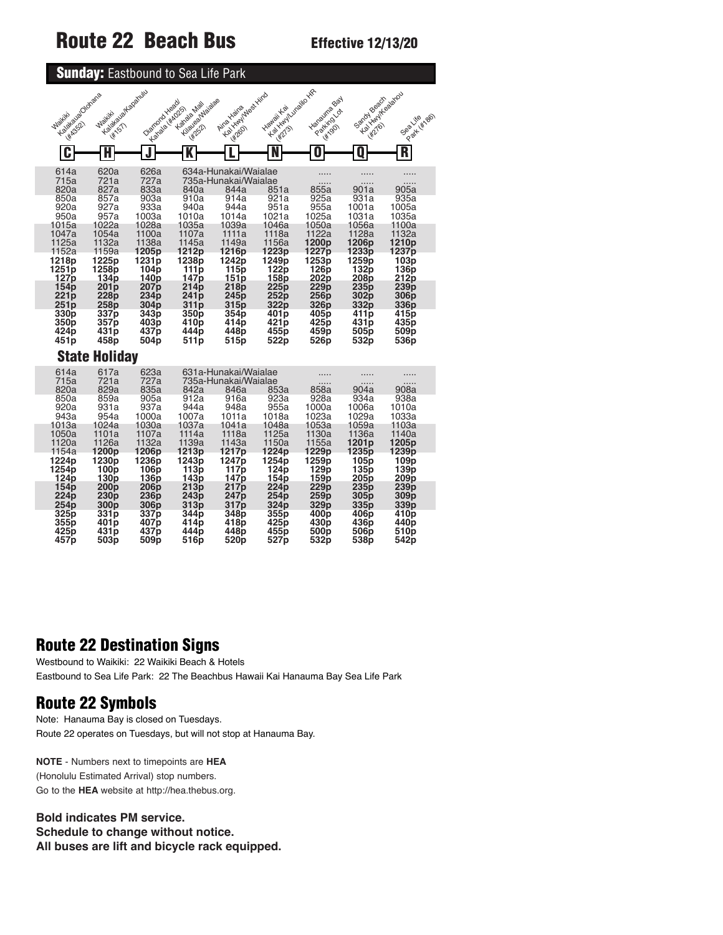| <b>Sunday: Eastbound to Sea Life Park</b> |  |
|-------------------------------------------|--|
|-------------------------------------------|--|

| sentingly diagood<br>Waikiki<br><b>HAAS2</b> | Kaciatagakagamu<br><b>Walkitch</b><br><b>HATST</b> | Diamond Head!<br>Latala (HADD) | Kilayee Maalae<br>Kahala Mall<br><b>4822</b> | Hall Hary West Hird<br>Aire Haine<br>142601          | La Yvini Lingvo HR<br>Hawaii Kai<br><b>HE2731</b> | Hanauma Bay<br>ParkingLot<br><b>HATOD</b> | as in the diamon<br>Sandy Beach<br><b>HR2767</b> | Play Hitlando<br>Sealthe |
|----------------------------------------------|----------------------------------------------------|--------------------------------|----------------------------------------------|------------------------------------------------------|---------------------------------------------------|-------------------------------------------|--------------------------------------------------|--------------------------|
| C                                            | H                                                  | J                              |                                              |                                                      |                                                   | 0                                         | Q                                                | R                        |
| 614a<br>715a<br>820a                         | 620a<br>721a<br>827a                               | 626a<br>727a<br>833a           | 840a                                         | 634a-Hunakai/Waialae<br>735a-Hunakai/Waialae<br>844a | 851a                                              | 855a                                      | .<br>901a                                        | 905a                     |
| 850a                                         | 857a                                               | 903a                           | 910a                                         | 914a                                                 | 921a                                              | 925a                                      | 931a                                             | 935a                     |
| 920a                                         | 927a                                               | 933a                           | 940a                                         | 944a                                                 | 951a                                              | 955a                                      | 1001a                                            | 1005a                    |
| 950a                                         | 957a                                               | 1003a                          | 1010a                                        | 1014a                                                | 1021a                                             | 1025a                                     | 1031a                                            | 1035a                    |
| 1015a                                        | 1022a                                              | 1028a                          | 1035a                                        | 1039a                                                | 1046a                                             | 1050a                                     | 1056a                                            | 1100a                    |
| 1047a                                        | 1054a                                              | 1100a                          | 1107a                                        | 1111a                                                | 1118a                                             | 1122a                                     | 1128a                                            | 1132a                    |
| 1125a                                        | 1132a                                              | 1138a                          | 1145a                                        | 1149a                                                | 1156a                                             | 1200p                                     | 1206p                                            | 1210 <sub>p</sub>        |
| 1152a                                        | 1159a                                              | 1205p                          | 1212p                                        | 1216p                                                | 1223p                                             | 1227p                                     | 1233p                                            | 1237p                    |
| 1218p                                        | 1225p                                              | 1231p                          | 1238p                                        | 1242p                                                | 1249p                                             | 1253p                                     | 1259p                                            | 103p                     |
| 1251p                                        | 1258p                                              | 104 <sub>p</sub>               | 111p                                         | 115p                                                 | 122p                                              | 126p                                      | 132p                                             | 136p                     |
| 127p                                         | 134p                                               | 140p                           | 147 <sub>p</sub>                             | 151p                                                 | 158p                                              | 202p                                      | 208p                                             | 212p                     |
| 154p                                         | 201p                                               | 207 <sub>p</sub>               | 214p                                         | 218p                                                 | 225p                                              | 229p                                      | 235p                                             | 239p                     |
| 221p                                         | 228 <sub>p</sub>                                   | 234 <sub>p</sub>               | 241 <sub>p</sub>                             | 245p                                                 | 252p                                              | 256 <sub>p</sub>                          | 302p                                             | 306 <sub>p</sub>         |
| 251p                                         | 258p                                               | 304p                           | 311 <sub>p</sub>                             | 315 <sub>p</sub>                                     | 322p                                              | 326p                                      | 332p                                             | 336 <sub>p</sub>         |
| 330 <sub>p</sub>                             | 337 <sub>p</sub>                                   | 343p                           | 350p                                         | 354p                                                 | 401 <sub>p</sub>                                  | 405 <sub>p</sub>                          | 411 <sub>p</sub>                                 | 415 <sub>p</sub>         |
| 350p                                         | 357p                                               | 403p                           | 410p                                         | 414 <sub>p</sub>                                     | 421 p                                             | 425 <sub>p</sub>                          | 431 <sub>p</sub>                                 | 435 <sub>p</sub>         |
| 424p                                         | 431 p                                              | 437 p                          | 444 p                                        | 448p                                                 | 455p                                              | 459p                                      | 505p                                             | 509p                     |
| 451 <sub>p</sub>                             | 458p                                               | 504p                           | 511p                                         | 515p                                                 | 522p                                              | 526p                                      | 532p                                             | 536p                     |
|                                              | <b>State Holiday</b>                               |                                |                                              |                                                      |                                                   |                                           |                                                  |                          |
| 614a<br>715a                                 | 617a<br>721a                                       | 623a<br>727a                   |                                              | 631a-Hunakai/Waialae<br>735a-Hunakai/Waialae         |                                                   | .                                         | .                                                |                          |
| 820a                                         | 829a                                               | 835a                           | 842a                                         | 846a                                                 | 853a                                              | 858a                                      | 904a                                             | 908a                     |
| 850a                                         | 859a                                               | 905a                           | 912a                                         | 916a                                                 | 923a                                              | 928a                                      | 934a                                             | 938a                     |
| 920a                                         | 931a                                               | 937a                           | 944a                                         | 948a                                                 | 955a                                              | 1000a                                     | 1006a                                            | 1010a                    |
| 943a                                         | 954a                                               | 1000a                          | 1007a                                        | 1011a                                                | 1018a                                             | 1023a                                     | 1029a                                            | 1033a                    |
| 1013a                                        | 1024a                                              | 1030a                          | 1037a                                        | 1041a                                                | 1048a                                             | 1053a                                     | 1059a                                            | 1103a                    |
| 1050a                                        | 1101a                                              | 1107a                          | 1114a                                        | 1118a                                                | 1125a                                             | 1130a                                     | 1136a                                            | 1140a                    |
| 1120a                                        | 1126a                                              | 1132a                          | 1139a                                        | 1143a                                                | 1150a                                             | 1155a                                     | 1201 <sub>p</sub>                                | 1205p                    |
| 1154a                                        | 1200 <sub>p</sub>                                  | 1206p                          | 1213p                                        | 1217p                                                | 1224p                                             | 1229p                                     | 1235p                                            | 1239p                    |
| 1224p                                        | 1230p                                              | 1236p                          | 1243p                                        | 1247p                                                | 1254p                                             | 1259p                                     | 105p                                             | 109 <sub>p</sub>         |
| 1254p                                        | 100p                                               | 106 <sub>p</sub>               | 113p                                         | 117p                                                 | 124p                                              | 129p                                      | 135p                                             | 139p                     |
| 124p                                         | 130p                                               | 136p                           | 143p                                         | 147 <sub>p</sub>                                     | 154p                                              | 159p                                      | 205p                                             | 209p                     |
| 154p                                         | 200p                                               | 206p                           | 213p                                         | 217p                                                 | 224p                                              | 229p                                      | 235p                                             | 239p                     |
| 224p                                         | 230p                                               | 236p                           | 243p                                         | 247p                                                 | 254p                                              | 259p                                      | 305p                                             | 309 <sub>p</sub>         |
| 254 <sub>p</sub>                             | 300 <sub>p</sub>                                   | 306 <sub>p</sub>               | 313p                                         | 317p                                                 | 324 <sub>D</sub>                                  | 329 <sub>p</sub>                          | 335p                                             | 339 <sub>p</sub>         |
| 325p                                         | 331 <sub>p</sub>                                   | 337 <sub>p</sub>               | 344p                                         | 348 <sub>p</sub>                                     | 355p                                              | 400p                                      | 406p                                             | 410p                     |
| 355p                                         | 401 <sub>p</sub>                                   | 407 <sub>p</sub>               | 414p                                         | 418p                                                 | 425 <sub>p</sub>                                  | 430 <sub>p</sub>                          | 436 <sub>p</sub>                                 | 440p                     |
| 425p                                         | 431 p                                              | 437 p                          | 444 p                                        | 448p                                                 | 455p                                              | 500 <sub>p</sub>                          | 506p                                             | 510p                     |
| 457p                                         | 503 <sub>p</sub>                                   | 509 <sub>p</sub>               | 516p                                         | 520p                                                 | 527p                                              | 532p                                      | 538p                                             | 542p                     |

#### Route 22 Destination Signs

Westbound to Waikiki: 22 Waikiki Beach & Hotels Eastbound to Sea Life Park: 22 The Beachbus Hawaii Kai Hanauma Bay Sea Life Park

### Route 22 Symbols

Note: Hanauma Bay is closed on Tuesdays. Route 22 operates on Tuesdays, but will not stop at Hanauma Bay.

**NOTE** - Numbers next to timepoints are **HEA** (Honolulu Estimated Arrival) stop numbers. Go to the **HEA** website at http://hea.thebus.org.